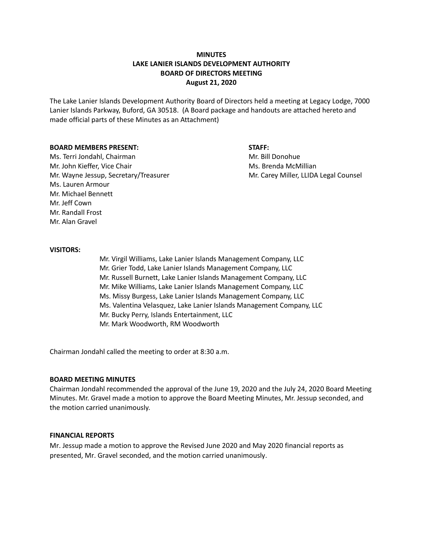# **MINUTES LAKE LANIER ISLANDS DEVELOPMENT AUTHORITY BOARD OF DIRECTORS MEETING August 21, 2020**

The Lake Lanier Islands Development Authority Board of Directors held a meeting at Legacy Lodge, 7000 Lanier Islands Parkway, Buford, GA 30518. (A Board package and handouts are attached hereto and made official parts of these Minutes as an Attachment)

### **BOARD MEMBERS PRESENT: STAFF:**

Ms. Terri Jondahl, Chairman Microsoft Chairman Mr. Bill Donohue Mr. John Kieffer, Vice Chair Michael McMillian Ms. Brenda McMillian Mr. Wayne Jessup, Secretary/Treasurer Music Carey Miller, LLIDA Legal Counsel Ms. Lauren Armour Mr. Michael Bennett Mr. Jeff Cown Mr. Randall Frost Mr. Alan Gravel

### **VISITORS:**

Mr. Virgil Williams, Lake Lanier Islands Management Company, LLC Mr. Grier Todd, Lake Lanier Islands Management Company, LLC Mr. Russell Burnett, Lake Lanier Islands Management Company, LLC Mr. Mike Williams, Lake Lanier Islands Management Company, LLC Ms. Missy Burgess, Lake Lanier Islands Management Company, LLC Ms. Valentina Velasquez, Lake Lanier Islands Management Company, LLC Mr. Bucky Perry, Islands Entertainment, LLC Mr. Mark Woodworth, RM Woodworth

Chairman Jondahl called the meeting to order at 8:30 a.m.

### **BOARD MEETING MINUTES**

Chairman Jondahl recommended the approval of the June 19, 2020 and the July 24, 2020 Board Meeting Minutes. Mr. Gravel made a motion to approve the Board Meeting Minutes, Mr. Jessup seconded, and the motion carried unanimously.

#### **FINANCIAL REPORTS**

Mr. Jessup made a motion to approve the Revised June 2020 and May 2020 financial reports as presented, Mr. Gravel seconded, and the motion carried unanimously.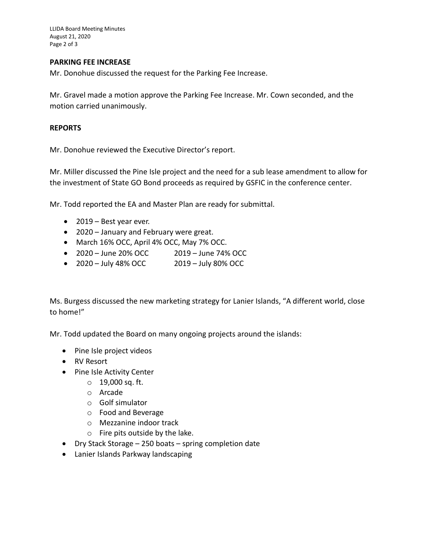LLIDA Board Meeting Minutes August 21, 2020 Page 2 of 3

# **PARKING FEE INCREASE**

Mr. Donohue discussed the request for the Parking Fee Increase.

Mr. Gravel made a motion approve the Parking Fee Increase. Mr. Cown seconded, and the motion carried unanimously.

# **REPORTS**

Mr. Donohue reviewed the Executive Director's report.

Mr. Miller discussed the Pine Isle project and the need for a sub lease amendment to allow for the investment of State GO Bond proceeds as required by GSFIC in the conference center.

Mr. Todd reported the EA and Master Plan are ready for submittal.

- 2019 Best year ever.
- 2020 January and February were great.
- March 16% OCC, April 4% OCC, May 7% OCC.
- 2020 June 20% OCC 2019 June 74% OCC
- $\bullet$  2020 July 48% OCC 2019 July 80% OCC

Ms. Burgess discussed the new marketing strategy for Lanier Islands, "A different world, close to home!"

Mr. Todd updated the Board on many ongoing projects around the islands:

- Pine Isle project videos
- RV Resort
- Pine Isle Activity Center
	- o 19,000 sq. ft.
	- o Arcade
	- o Golf simulator
	- o Food and Beverage
	- o Mezzanine indoor track
	- o Fire pits outside by the lake.
- Dry Stack Storage 250 boats spring completion date
- Lanier Islands Parkway landscaping